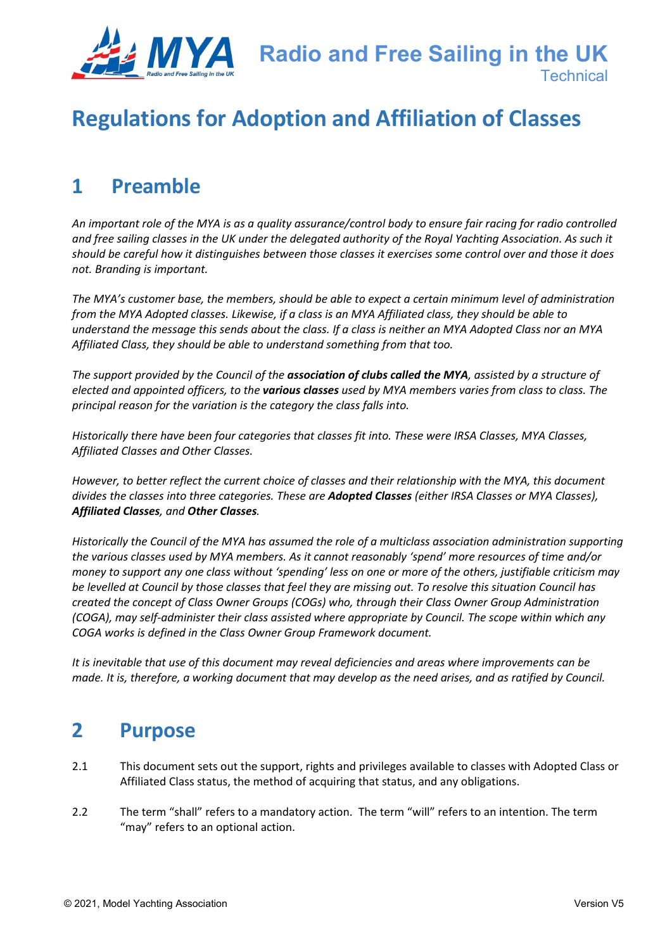

# **Regulations for Adoption and Affiliation of Classes**

## **1 Preamble**

*An important role of the MYA is as a quality assurance/control body to ensure fair racing for radio controlled and free sailing classes in the UK under the delegated authority of the Royal Yachting Association. As such it should be careful how it distinguishes between those classes it exercises some control over and those it does not. Branding is important.* 

*The MYA's customer base, the members, should be able to expect a certain minimum level of administration from the MYA Adopted classes. Likewise, if a class is an MYA Affiliated class, they should be able to understand the message this sends about the class. If a class is neither an MYA Adopted Class nor an MYA Affiliated Class, they should be able to understand something from that too.*

*The support provided by the Council of the association of clubs called the MYA, assisted by a structure of elected and appointed officers, to the various classes used by MYA members varies from class to class. The principal reason for the variation is the category the class falls into.*

*Historically there have been four categories that classes fit into. These were IRSA Classes, MYA Classes, Affiliated Classes and Other Classes.* 

*However, to better reflect the current choice of classes and their relationship with the MYA, this document divides the classes into three categories. These are Adopted Classes (either IRSA Classes or MYA Classes), Affiliated Classes, and Other Classes.*

*Historically the Council of the MYA has assumed the role of a multiclass association administration supporting the various classes used by MYA members. As it cannot reasonably 'spend' more resources of time and/or money to support any one class without 'spending' less on one or more of the others, justifiable criticism may be levelled at Council by those classes that feel they are missing out. To resolve this situation Council has created the concept of Class Owner Groups (COGs) who, through their Class Owner Group Administration (COGA), may self-administer their class assisted where appropriate by Council. The scope within which any COGA works is defined in the Class Owner Group Framework document.*

*It is inevitable that use of this document may reveal deficiencies and areas where improvements can be made. It is, therefore, a working document that may develop as the need arises, and as ratified by Council.*

### **2 Purpose**

- 2.1 This document sets out the support, rights and privileges available to classes with Adopted Class or Affiliated Class status, the method of acquiring that status, and any obligations.
- 2.2 The term "shall" refers to a mandatory action. The term "will" refers to an intention. The term "may" refers to an optional action.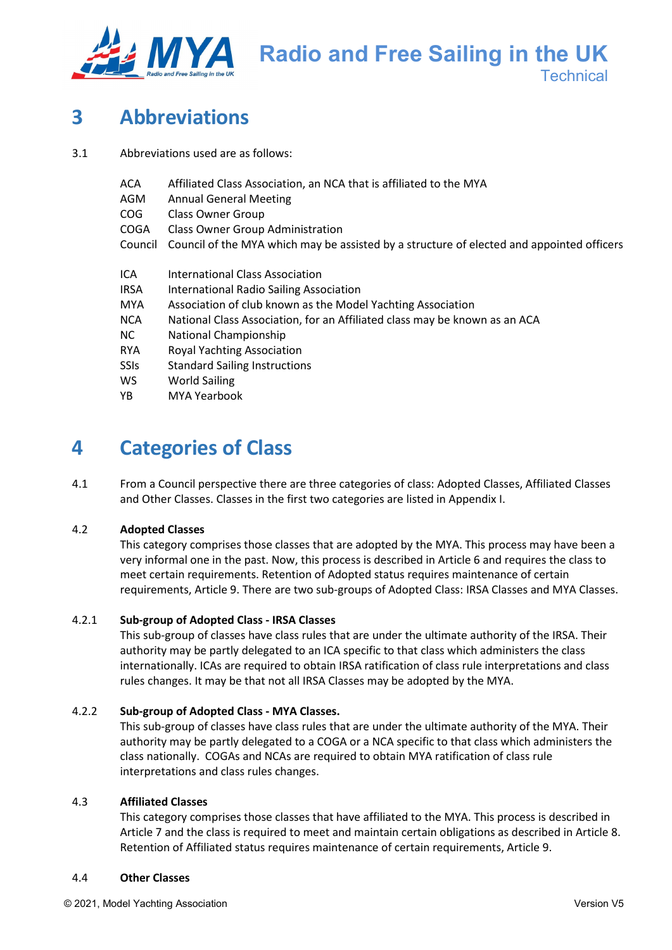

**Radio and Free Sailing in the UK Technical** 

# **3 Abbreviations**

- 3.1 Abbreviations used are as follows:
	- ACA Affiliated Class Association, an NCA that is affiliated to the MYA
	- AGM Annual General Meeting
	- COG Class Owner Group
	- COGA Class Owner Group Administration
	- Council Council of the MYA which may be assisted by a structure of elected and appointed officers
	- ICA International Class Association
	- IRSA International Radio Sailing Association
	- MYA Association of club known as the Model Yachting Association
	- NCA National Class Association, for an Affiliated class may be known as an ACA
	- NC National Championship
	- RYA Royal Yachting Association
	- SSIs Standard Sailing Instructions
	- WS World Sailing
	- YB MYA Yearbook

## **4 Categories of Class**

4.1 From a Council perspective there are three categories of class: Adopted Classes, Affiliated Classes and Other Classes. Classes in the first two categories are listed in Appendix I.

#### 4.2 **Adopted Classes**

This category comprises those classes that are adopted by the MYA. This process may have been a very informal one in the past. Now, this process is described in Article 6 and requires the class to meet certain requirements. Retention of Adopted status requires maintenance of certain requirements, Article 9. There are two sub-groups of Adopted Class: IRSA Classes and MYA Classes.

#### 4.2.1 **Sub-group of Adopted Class - IRSA Classes**

This sub-group of classes have class rules that are under the ultimate authority of the IRSA. Their authority may be partly delegated to an ICA specific to that class which administers the class internationally. ICAs are required to obtain IRSA ratification of class rule interpretations and class rules changes. It may be that not all IRSA Classes may be adopted by the MYA.

#### 4.2.2 **Sub-group of Adopted Class - MYA Classes.**

This sub-group of classes have class rules that are under the ultimate authority of the MYA. Their authority may be partly delegated to a COGA or a NCA specific to that class which administers the class nationally. COGAs and NCAs are required to obtain MYA ratification of class rule interpretations and class rules changes.

#### 4.3 **Affiliated Classes**

This category comprises those classes that have affiliated to the MYA. This process is described in Article 7 and the class is required to meet and maintain certain obligations as described in Article 8. Retention of Affiliated status requires maintenance of certain requirements, Article 9.

#### 4.4 **Other Classes**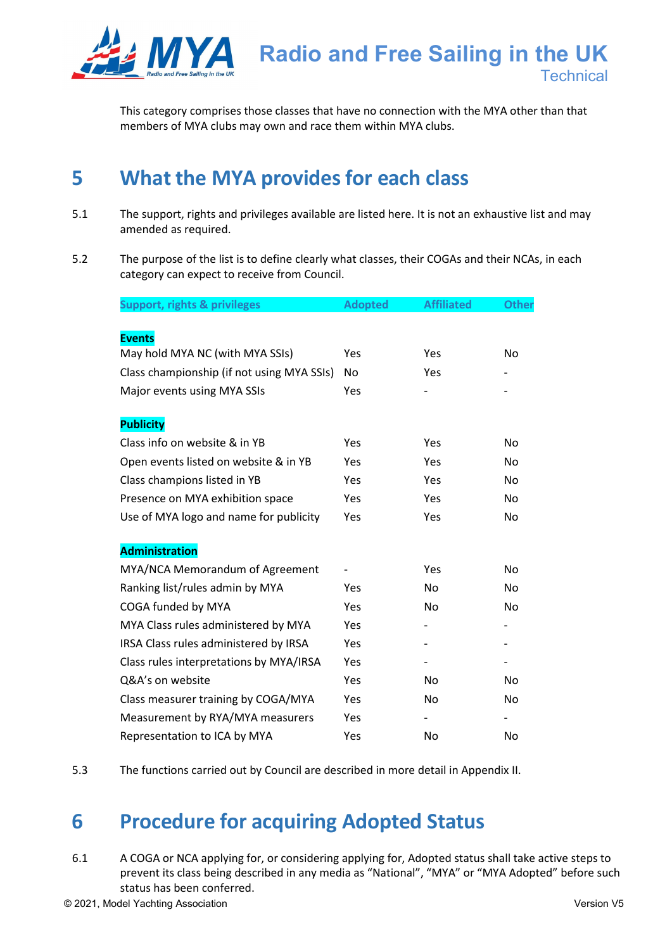

This category comprises those classes that have no connection with the MYA other than that members of MYA clubs may own and race them within MYA clubs.

# **5 What the MYA provides for each class**

- 5.1 The support, rights and privileges available are listed here. It is not an exhaustive list and may amended as required.
- 5.2 The purpose of the list is to define clearly what classes, their COGAs and their NCAs, in each category can expect to receive from Council.

| <b>Support, rights &amp; privileges</b>    | <b>Adopted</b> | <b>Affiliated</b> | <b>Other</b>   |
|--------------------------------------------|----------------|-------------------|----------------|
|                                            |                |                   |                |
| <b>Events</b>                              |                |                   |                |
| May hold MYA NC (with MYA SSIs)            | Yes            | Yes               | No             |
| Class championship (if not using MYA SSIs) | No.            | Yes               |                |
| Major events using MYA SSIs                | <b>Yes</b>     |                   |                |
| <b>Publicity</b>                           |                |                   |                |
| Class info on website & in YB              | Yes            | Yes               | <b>No</b>      |
| Open events listed on website & in YB      | Yes            | Yes               | No             |
| Class champions listed in YB               | Yes            | Yes               | No             |
| Presence on MYA exhibition space           | Yes            | Yes               | No.            |
| Use of MYA logo and name for publicity     | Yes            | Yes               | No.            |
| <b>Administration</b>                      |                |                   |                |
| MYA/NCA Memorandum of Agreement            |                | Yes               | No             |
| Ranking list/rules admin by MYA            | Yes            | No                | No             |
| COGA funded by MYA                         | Yes            | No.               | No.            |
| MYA Class rules administered by MYA        | <b>Yes</b>     |                   |                |
| IRSA Class rules administered by IRSA      | Yes            |                   |                |
| Class rules interpretations by MYA/IRSA    | Yes            |                   |                |
| Q&A's on website                           | <b>Yes</b>     | No                | N <sub>o</sub> |
| Class measurer training by COGA/MYA        | Yes            | No                | No             |
| Measurement by RYA/MYA measurers           | Yes            |                   |                |
| Representation to ICA by MYA               | Yes            | No                | No             |

5.3 The functions carried out by Council are described in more detail in Appendix II.

## **6 Procedure for acquiring Adopted Status**

6.1 A COGA or NCA applying for, or considering applying for, Adopted status shall take active steps to prevent its class being described in any media as "National", "MYA" or "MYA Adopted" before such status has been conferred.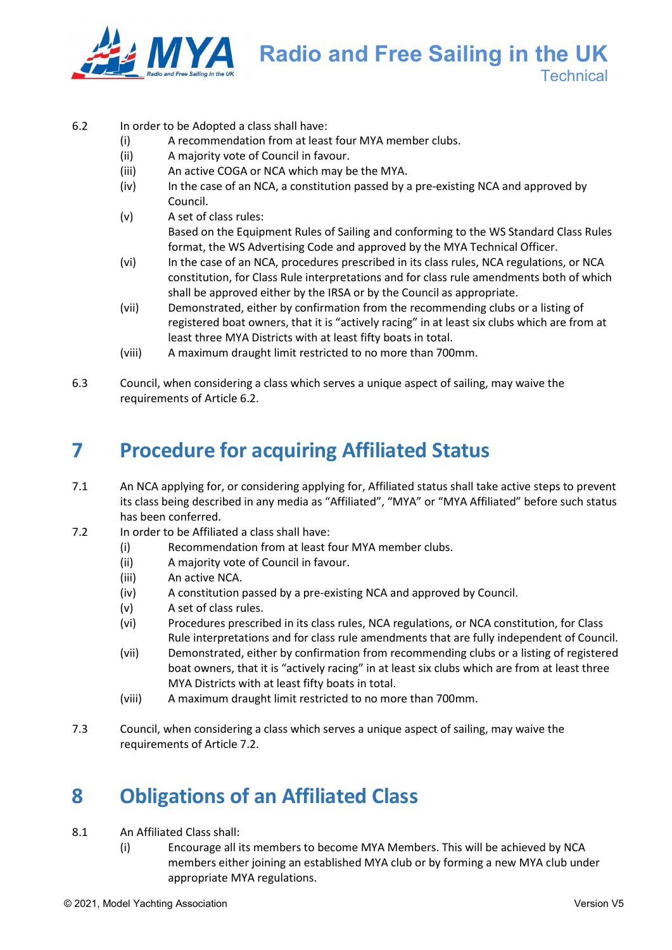

**Radio and Free Sailing in the UK Technical** 

#### 6.2 In order to be Adopted a class shall have:

- (i) A recommendation from at least four MYA member clubs.
- (ii) A majority vote of Council in favour.
- (iii) An active COGA or NCA which may be the MYA.
- (iv) In the case of an NCA, a constitution passed by a pre-existing NCA and approved by Council.
- (v) A set of class rules: Based on the Equipment Rules of Sailing and conforming to the WS Standard Class Rules format, the WS Advertising Code and approved by the MYA Technical Officer.
- (vi) In the case of an NCA, procedures prescribed in its class rules, NCA regulations, or NCA constitution, for Class Rule interpretations and for class rule amendments both of which shall be approved either by the IRSA or by the Council as appropriate.
- (vii) Demonstrated, either by confirmation from the recommending clubs or a listing of registered boat owners, that it is "actively racing" in at least six clubs which are from at least three MYA Districts with at least fifty boats in total.
- (viii) A maximum draught limit restricted to no more than 700mm.
- 6.3 Council, when considering a class which serves a unique aspect of sailing, may waive the requirements of Article 6.2.

## **7 Procedure for acquiring Affiliated Status**

- 7.1 An NCA applying for, or considering applying for, Affiliated status shall take active steps to prevent its class being described in any media as "Affiliated", "MYA" or "MYA Affiliated" before such status has been conferred.
- 7.2 In order to be Affiliated a class shall have:
	- (i) Recommendation from at least four MYA member clubs.
	- (ii) A majority vote of Council in favour.
	- (iii) An active NCA.
	- (iv) A constitution passed by a pre-existing NCA and approved by Council.
	- (v) A set of class rules.
	- (vi) Procedures prescribed in its class rules, NCA regulations, or NCA constitution, for Class Rule interpretations and for class rule amendments that are fully independent of Council.
	- (vii) Demonstrated, either by confirmation from recommending clubs or a listing of registered boat owners, that it is "actively racing" in at least six clubs which are from at least three MYA Districts with at least fifty boats in total.
	- (viii) A maximum draught limit restricted to no more than 700mm.
- 7.3 Council, when considering a class which serves a unique aspect of sailing, may waive the requirements of Article 7.2.

## **8 Obligations of an Affiliated Class**

- 8.1 An Affiliated Class shall:
	- (i) Encourage all its members to become MYA Members. This will be achieved by NCA members either joining an established MYA club or by forming a new MYA club under appropriate MYA regulations.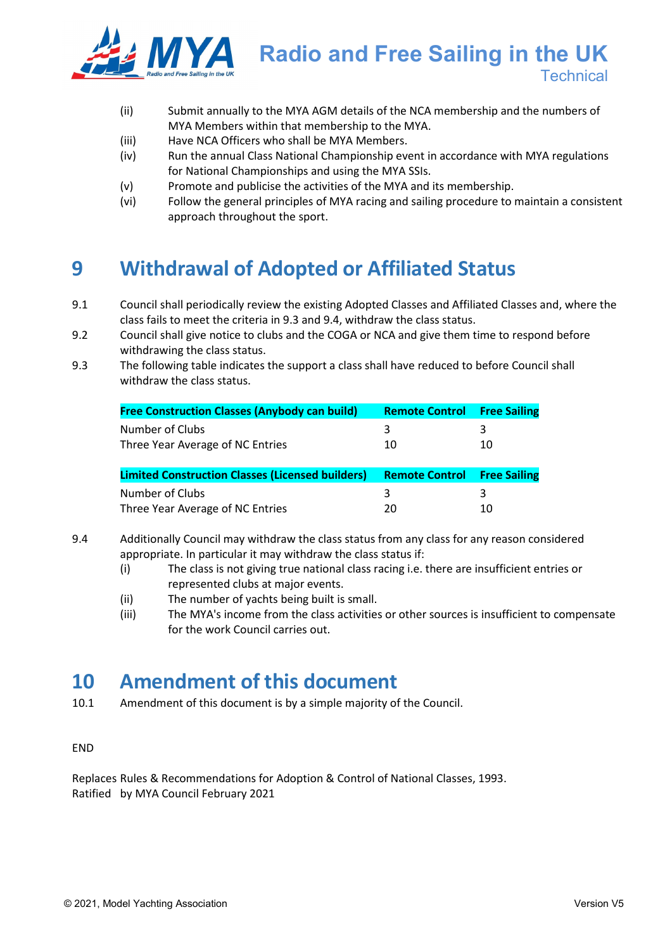

- (ii) Submit annually to the MYA AGM details of the NCA membership and the numbers of MYA Members within that membership to the MYA.
- (iii) Have NCA Officers who shall be MYA Members.
- (iv) Run the annual Class National Championship event in accordance with MYA regulations for National Championships and using the MYA SSIs.
- (v) Promote and publicise the activities of the MYA and its membership.
- (vi) Follow the general principles of MYA racing and sailing procedure to maintain a consistent approach throughout the sport.

## **9 Withdrawal of Adopted or Affiliated Status**

- 9.1 Council shall periodically review the existing Adopted Classes and Affiliated Classes and, where the class fails to meet the criteria in 9.3 and 9.4, withdraw the class status.
- 9.2 Council shall give notice to clubs and the COGA or NCA and give them time to respond before withdrawing the class status.
- 9.3 The following table indicates the support a class shall have reduced to before Council shall withdraw the class status.

| <b>Free Construction Classes (Anybody can build)</b>    | <b>Remote Control</b> | <b>Free Sailing</b> |
|---------------------------------------------------------|-----------------------|---------------------|
| Number of Clubs                                         | 3                     | 3                   |
| Three Year Average of NC Entries                        | 10                    | 10                  |
|                                                         |                       |                     |
|                                                         |                       |                     |
| <b>Limited Construction Classes (Licensed builders)</b> | <b>Remote Control</b> | <b>Free Sailing</b> |
| Number of Clubs                                         | 3                     | 3                   |

- 9.4 Additionally Council may withdraw the class status from any class for any reason considered appropriate. In particular it may withdraw the class status if:
	- (i) The class is not giving true national class racing i.e. there are insufficient entries or represented clubs at major events.
	- (ii) The number of yachts being built is small.
	- (iii) The MYA's income from the class activities or other sources is insufficient to compensate for the work Council carries out.

### **10 Amendment of this document**

10.1 Amendment of this document is by a simple majority of the Council.

END

Replaces Rules & Recommendations for Adoption & Control of National Classes, 1993. Ratified by MYA Council February 2021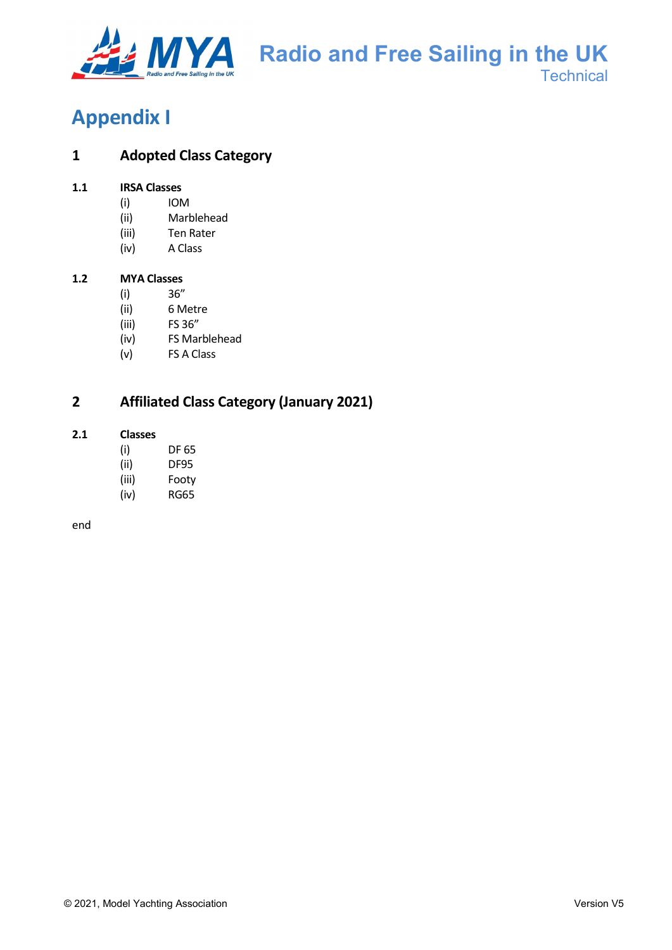

# **Appendix I**

### **1 Adopted Class Category**

#### **1.1 IRSA Classes**

- (i) IOM
- (ii) Marblehead
- (iii) Ten Rater
- (iv) A Class

#### **1.2 MYA Classes**

- (i) 36"
- (ii) 6 Metre
- (iii) FS 36"
- (iv) FS Marblehead
- (v) FS A Class

### **2 Affiliated Class Category (January 2021)**

#### **2.1 Classes**

- (i) DF 65
- (ii) DF95
- (iii) Footy
- (iv) RG65

end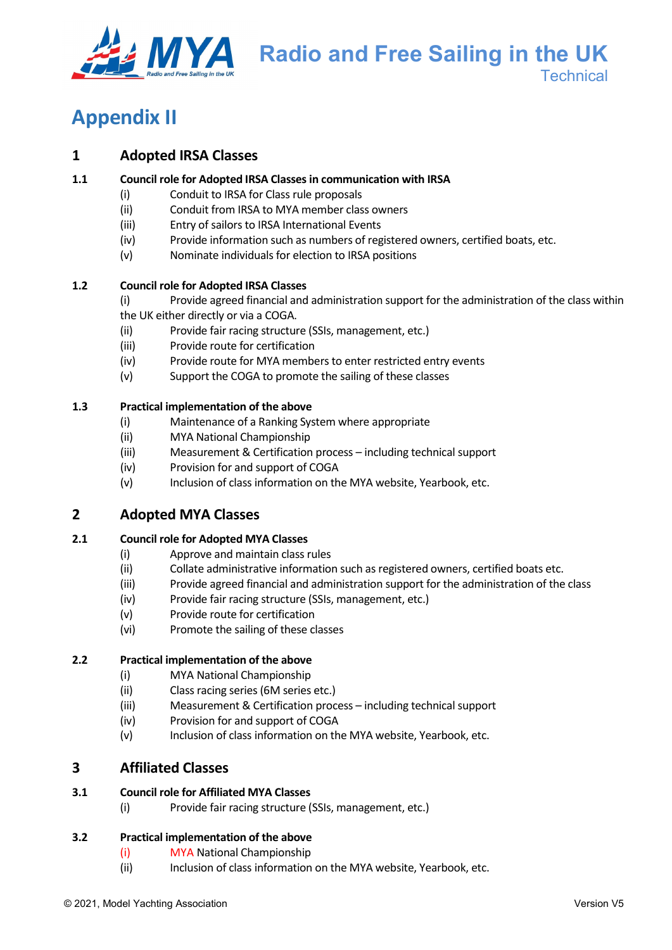

**Radio and Free Sailing in the UK Technical** 

# **Appendix II**

### **1 Adopted IRSA Classes**

#### **1.1 Council role for Adopted IRSA Classes in communication with IRSA**

- (i) Conduit to IRSA for Class rule proposals
- (ii) Conduit from IRSA to MYA member class owners
- (iii) Entry of sailors to IRSA International Events
- (iv) Provide information such as numbers of registered owners, certified boats, etc.
- (v) Nominate individuals for election to IRSA positions

#### **1.2 Council role for Adopted IRSA Classes**

- (i) Provide agreed financial and administration support for the administration of the class within
- the UK either directly or via a COGA.
- (ii) Provide fair racing structure (SSIs, management, etc.)
- (iii) Provide route for certification
- (iv) Provide route for MYA members to enter restricted entry events
- (v) Support the COGA to promote the sailing of these classes

#### **1.3 Practical implementation of the above**

- (i) Maintenance of a Ranking System where appropriate
- (ii) MYA National Championship
- (iii) Measurement & Certification process including technical support
- (iv) Provision for and support of COGA
- (v) Inclusion of class information on the MYA website, Yearbook, etc.

### **2 Adopted MYA Classes**

#### **2.1 Council role for Adopted MYA Classes**

- (i) Approve and maintain class rules
- (ii) Collate administrative information such as registered owners, certified boats etc.
- (iii) Provide agreed financial and administration support for the administration of the class
- (iv) Provide fair racing structure (SSIs, management, etc.)
- (v) Provide route for certification
- (vi) Promote the sailing of these classes

#### **2.2 Practical implementation of the above**

- (i) MYA National Championship
- (ii) Class racing series (6M series etc.)
- (iii) Measurement & Certification process including technical support
- (iv) Provision for and support of COGA
- (v) Inclusion of class information on the MYA website, Yearbook, etc.

### **3 Affiliated Classes**

#### **3.1 Council role for Affiliated MYA Classes**

(i) Provide fair racing structure (SSIs, management, etc.)

#### **3.2 Practical implementation of the above**

- (i) MYA National Championship
- (ii) Inclusion of class information on the MYA website, Yearbook, etc.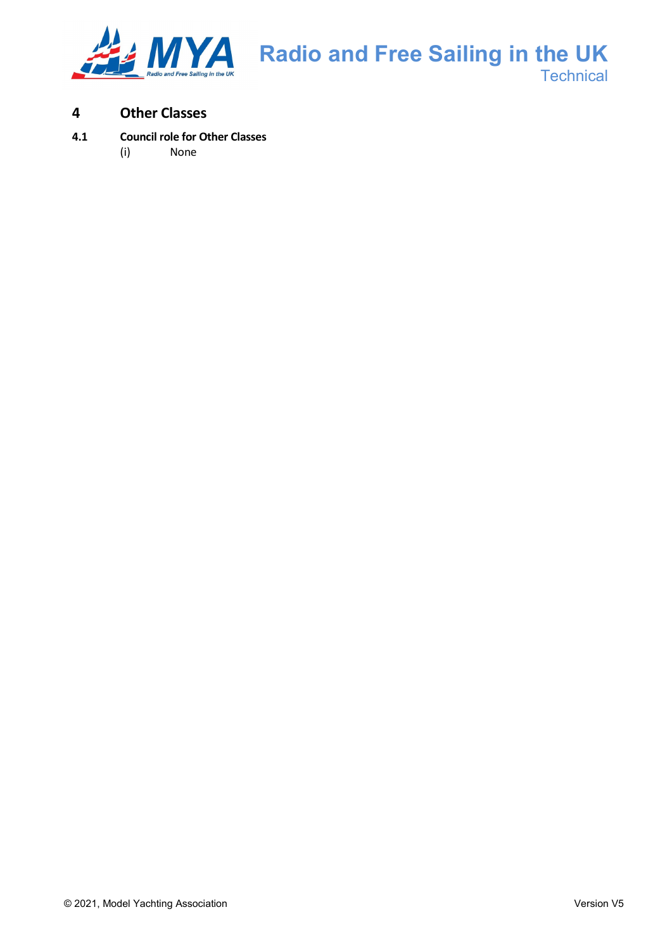

### **4 Other Classes**

#### **4.1 Council role for Other Classes**

(i) None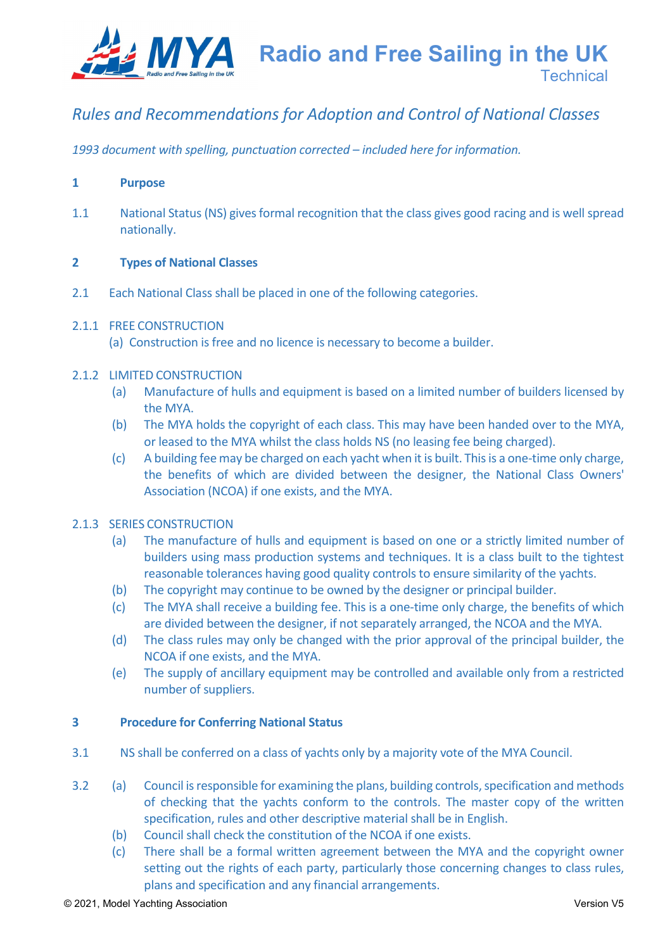

### *Rules and Recommendations for Adoption and Control of National Classes*

*1993 document with spelling, punctuation corrected – included here for information.*

#### **1 Purpose**

1.1 National Status (NS) gives formal recognition that the class gives good racing and is well spread nationally.

#### **2 Types of National Classes**

2.1 Each National Class shall be placed in one of the following categories.

#### 2.1.1 FREE CONSTRUCTION

(a) Construction is free and no licence is necessary to become a builder.

#### 2.1.2 LIMITED CONSTRUCTION

- (a) Manufacture of hulls and equipment is based on a limited number of builders licensed by the MYA.
- (b) The MYA holds the copyright of each class. This may have been handed over to the MYA, or leased to the MYA whilst the class holds NS (no leasing fee being charged).
- (c) A building fee may be charged on each yacht when it is built. This is a one-time only charge, the benefits of which are divided between the designer, the National Class Owners' Association (NCOA) if one exists, and the MYA.

#### 2.1.3 SERIES CONSTRUCTION

- (a) The manufacture of hulls and equipment is based on one or a strictly limited number of builders using mass production systems and techniques. It is a class built to the tightest reasonable tolerances having good quality controls to ensure similarity of the yachts.
- (b) The copyright may continue to be owned by the designer or principal builder.
- (c) The MYA shall receive a building fee. This is a one-time only charge, the benefits of which are divided between the designer, if not separately arranged, the NCOA and the MYA.
- (d) The class rules may only be changed with the prior approval of the principal builder, the NCOA if one exists, and the MYA.
- (e) The supply of ancillary equipment may be controlled and available only from a restricted number of suppliers.

#### **3 Procedure for Conferring National Status**

- 3.1 NS shall be conferred on a class of yachts only by a majority vote of the MYA Council.
- 3.2 (a) Council is responsible for examining the plans, building controls, specification and methods of checking that the yachts conform to the controls. The master copy of the written specification, rules and other descriptive material shall be in English.
	- (b) Council shall check the constitution of the NCOA if one exists.
	- (c) There shall be a formal written agreement between the MYA and the copyright owner setting out the rights of each party, particularly those concerning changes to class rules, plans and specification and any financial arrangements.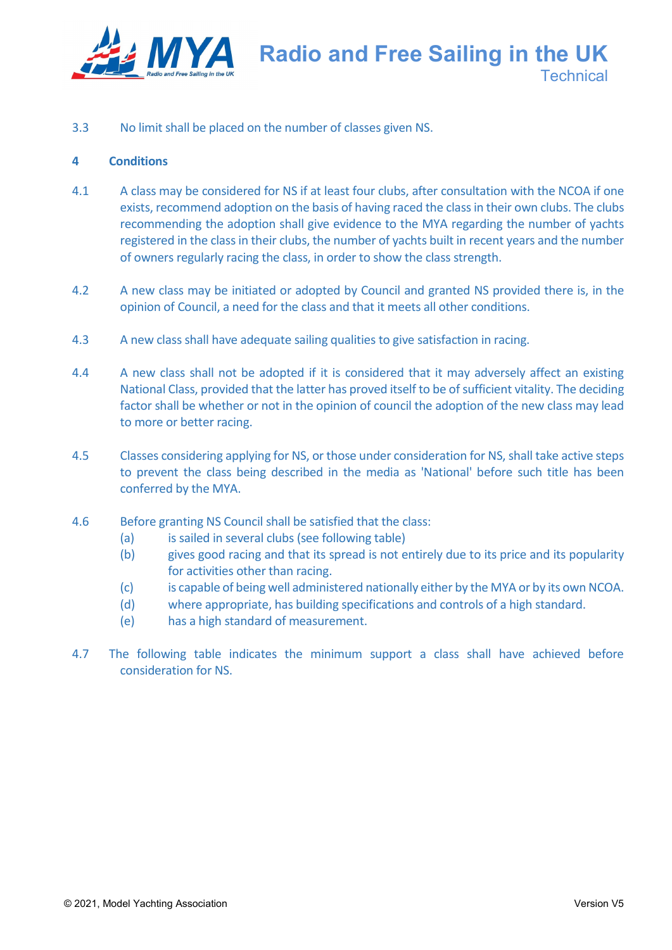

3.3 No limit shall be placed on the number of classes given NS.

#### **4 Conditions**

- 4.1 A class may be considered for NS if at least four clubs, after consultation with the NCOA if one exists, recommend adoption on the basis of having raced the class in their own clubs. The clubs recommending the adoption shall give evidence to the MYA regarding the number of yachts registered in the class in their clubs, the number of yachts built in recent years and the number of owners regularly racing the class, in order to show the class strength.
- 4.2 A new class may be initiated or adopted by Council and granted NS provided there is, in the opinion of Council, a need for the class and that it meets all other conditions.
- 4.3 A new class shall have adequate sailing qualities to give satisfaction in racing.
- 4.4 A new class shall not be adopted if it is considered that it may adversely affect an existing National Class, provided that the latter has proved itself to be of sufficient vitality. The deciding factor shall be whether or not in the opinion of council the adoption of the new class may lead to more or better racing.
- 4.5 Classes considering applying for NS, or those under consideration for NS, shall take active steps to prevent the class being described in the media as 'National' before such title has been conferred by the MYA.
- 4.6 Before granting NS Council shall be satisfied that the class:
	- (a) is sailed in several clubs (see following table)
	- (b) gives good racing and that its spread is not entirely due to its price and its popularity for activities other than racing.
	- (c) is capable of being well administered nationally either by the MYA or by its own NCOA.
	- (d) where appropriate, has building specifications and controls of a high standard.
	- (e) has a high standard of measurement.
- 4.7 The following table indicates the minimum support a class shall have achieved before consideration for NS.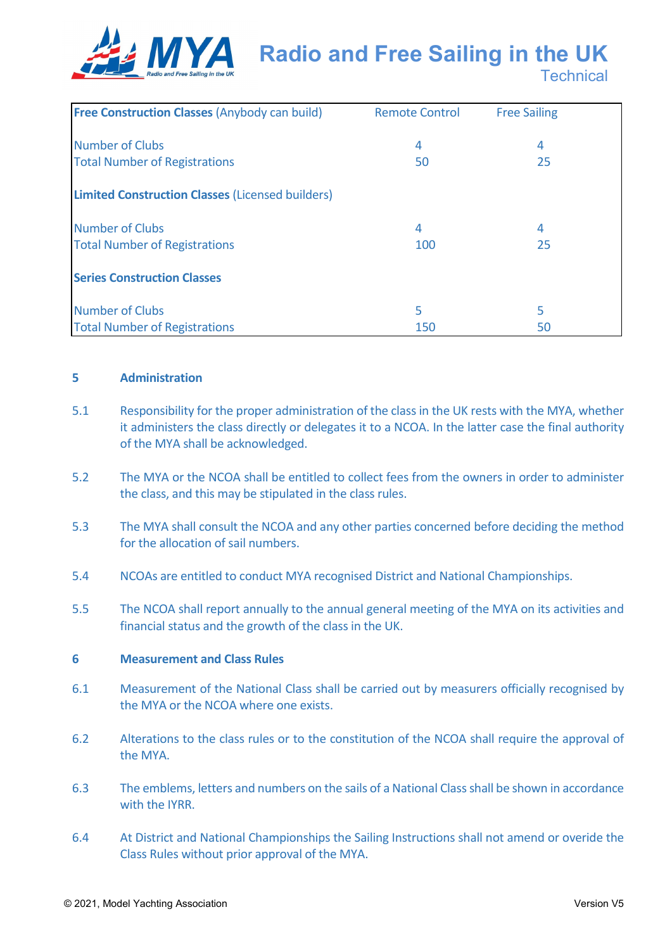

| <b>Free Construction Classes (Anybody can build)</b>    | <b>Remote Control</b> | <b>Free Sailing</b> |
|---------------------------------------------------------|-----------------------|---------------------|
| <b>Number of Clubs</b>                                  | 4                     | 4                   |
| <b>Total Number of Registrations</b>                    | 50                    | 25                  |
|                                                         |                       |                     |
| <b>Limited Construction Classes (Licensed builders)</b> |                       |                     |
| <b>Number of Clubs</b>                                  | 4                     | 4                   |
| <b>Total Number of Registrations</b>                    | 100                   | 25                  |
| <b>Series Construction Classes</b>                      |                       |                     |
|                                                         |                       |                     |
| <b>Number of Clubs</b>                                  | 5                     | 5                   |
| <b>Total Number of Registrations</b>                    | 150                   | 50                  |

#### **5 Administration**

- 5.1 Responsibility for the proper administration of the class in the UK rests with the MYA, whether it administers the class directly or delegates it to a NCOA. In the latter case the final authority of the MYA shall be acknowledged.
- 5.2 The MYA or the NCOA shall be entitled to collect fees from the owners in order to administer the class, and this may be stipulated in the class rules.
- 5.3 The MYA shall consult the NCOA and any other parties concerned before deciding the method for the allocation of sail numbers.
- 5.4 NCOAs are entitled to conduct MYA recognised District and National Championships.
- 5.5 The NCOA shall report annually to the annual general meeting of the MYA on its activities and financial status and the growth of the class in the UK.

#### **6 Measurement and Class Rules**

- 6.1 Measurement of the National Class shall be carried out by measurers officially recognised by the MYA or the NCOA where one exists.
- 6.2 Alterations to the class rules or to the constitution of the NCOA shall require the approval of the MYA.
- 6.3 The emblems, letters and numbers on the sails of a National Class shall be shown in accordance with the IYRR.
- 6.4 At District and National Championships the Sailing Instructions shall not amend or overide the Class Rules without prior approval of the MYA.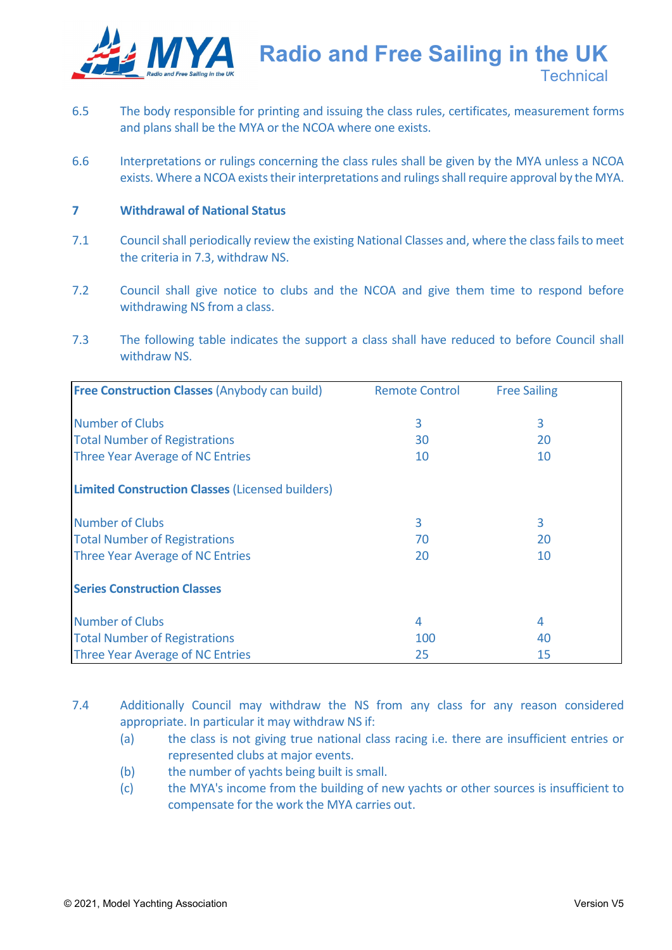

**Radio and Free Sailing in the UK**

**Technical** 

- 6.5 The body responsible for printing and issuing the class rules, certificates, measurement forms and plans shall be the MYA or the NCOA where one exists.
- 6.6 Interpretations or rulings concerning the class rules shall be given by the MYA unless a NCOA exists. Where a NCOA exists their interpretations and rulings shall require approval by the MYA.

#### **7 Withdrawal of National Status**

- 7.1 Council shall periodically review the existing National Classes and, where the class fails to meet the criteria in 7.3, withdraw NS.
- 7.2 Council shall give notice to clubs and the NCOA and give them time to respond before withdrawing NS from a class.
- 7.3 The following table indicates the support a class shall have reduced to before Council shall withdraw NS.

| <b>Free Construction Classes (Anybody can build)</b>    | <b>Remote Control</b> | <b>Free Sailing</b> |
|---------------------------------------------------------|-----------------------|---------------------|
|                                                         |                       |                     |
| <b>Number of Clubs</b>                                  | 3                     | 3                   |
| <b>Total Number of Registrations</b>                    | 30                    | 20                  |
| Three Year Average of NC Entries                        | 10                    | 10                  |
| <b>Limited Construction Classes (Licensed builders)</b> |                       |                     |
| <b>Number of Clubs</b>                                  | 3                     | 3                   |
| <b>Total Number of Registrations</b>                    | 70                    | 20                  |
| Three Year Average of NC Entries                        | 20                    | 10                  |
| <b>Series Construction Classes</b>                      |                       |                     |
| <b>Number of Clubs</b>                                  | 4                     | 4                   |
| <b>Total Number of Registrations</b>                    | 100                   | 40                  |
| <b>Three Year Average of NC Entries</b>                 | 25                    | 15                  |

7.4 Additionally Council may withdraw the NS from any class for any reason considered appropriate. In particular it may withdraw NS if:

- (a) the class is not giving true national class racing i.e. there are insufficient entries or represented clubs at major events.
- (b) the number of vachts being built is small.
- (c) the MYA's income from the building of new yachts or other sources is insufficient to compensate for the work the MYA carries out.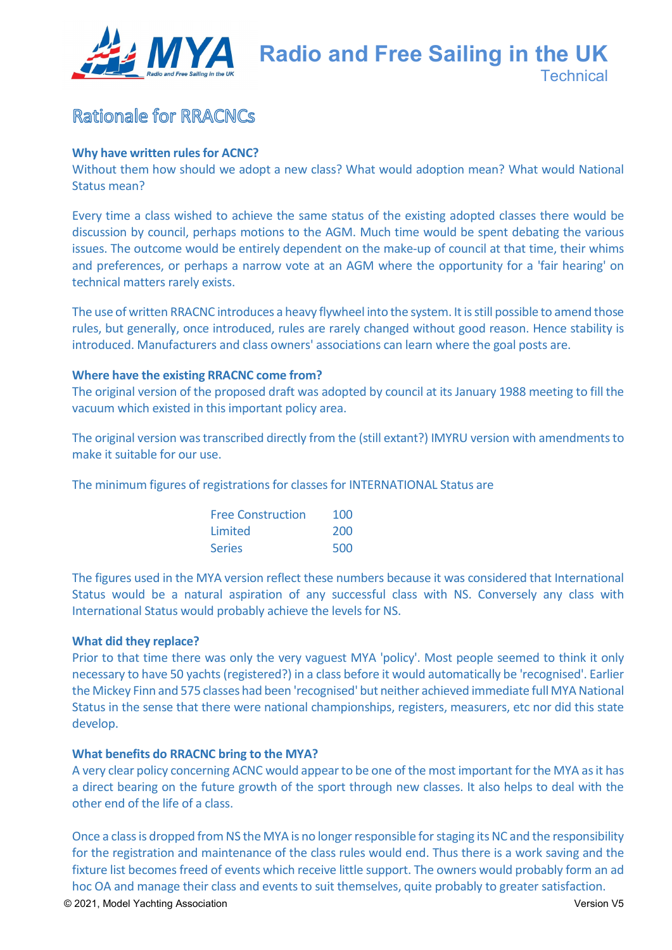

### Rationale for RRACNCs

#### **Why have written rules for ACNC?**

Without them how should we adopt a new class? What would adoption mean? What would National Status mean?

Every time a class wished to achieve the same status of the existing adopted classes there would be discussion by council, perhaps motions to the AGM. Much time would be spent debating the various issues. The outcome would be entirely dependent on the make-up of council at that time, their whims and preferences, or perhaps a narrow vote at an AGM where the opportunity for a 'fair hearing' on technical matters rarely exists.

The use of written RRACNC introduces a heavy flywheel into the system. It is still possible to amend those rules, but generally, once introduced, rules are rarely changed without good reason. Hence stability is introduced. Manufacturers and class owners' associations can learn where the goal posts are.

#### **Where have the existing RRACNC come from?**

The original version of the proposed draft was adopted by council at its January 1988 meeting to fill the vacuum which existed in this important policy area.

The original version was transcribed directly from the (still extant?) IMYRU version with amendments to make it suitable for our use.

The minimum figures of registrations for classes for INTERNATIONAL Status are

| <b>Free Construction</b> | 100 |
|--------------------------|-----|
| Limited                  | 200 |
| <b>Series</b>            | 500 |

The figures used in the MYA version reflect these numbers because it was considered that International Status would be a natural aspiration of any successful class with NS. Conversely any class with International Status would probably achieve the levels for NS.

#### **What did they replace?**

Prior to that time there was only the very vaguest MYA 'policy'. Most people seemed to think it only necessary to have 50 yachts (registered?) in a class before it would automatically be 'recognised'. Earlier the Mickey Finn and 575 classes had been 'recognised' but neither achieved immediate full MYA National Status in the sense that there were national championships, registers, measurers, etc nor did this state develop.

#### **What benefits do RRACNC bring to the MYA?**

A very clear policy concerning ACNC would appear to be one of the most important for the MYA as it has a direct bearing on the future growth of the sport through new classes. It also helps to deal with the other end of the life of a class.

Once a class is dropped from NS the MYA is no longer responsible for staging its NC and the responsibility for the registration and maintenance of the class rules would end. Thus there is a work saving and the fixture list becomes freed of events which receive little support. The owners would probably form an ad hoc OA and manage their class and events to suit themselves, quite probably to greater satisfaction.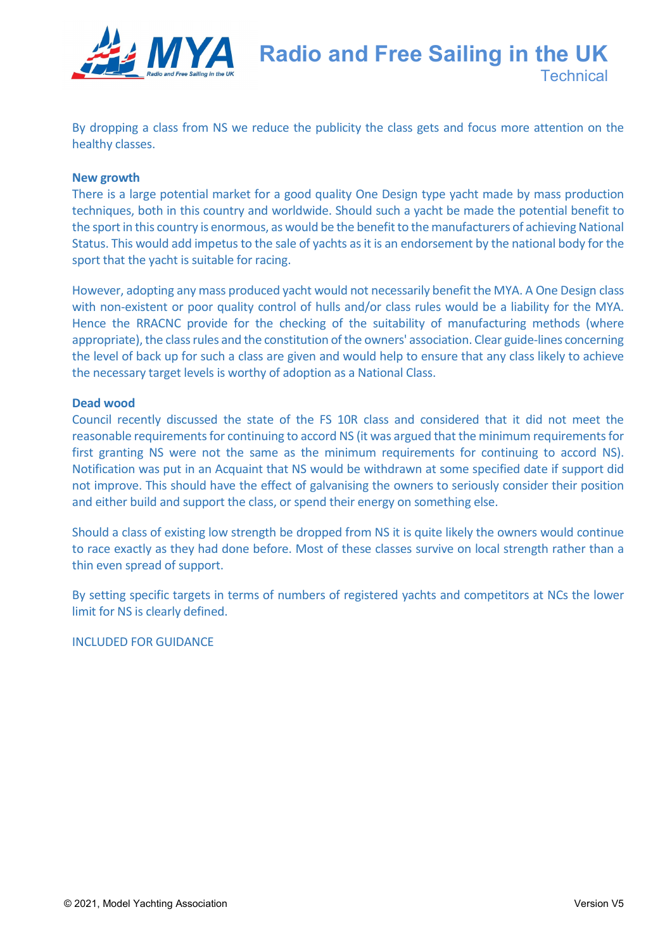

By dropping a class from NS we reduce the publicity the class gets and focus more attention on the healthy classes.

#### **New growth**

There is a large potential market for a good quality One Design type yacht made by mass production techniques, both in this country and worldwide. Should such a yacht be made the potential benefit to the sport in this country is enormous, as would be the benefit to the manufacturers of achieving National Status. This would add impetus to the sale of yachts as it is an endorsement by the national body for the sport that the yacht is suitable for racing.

However, adopting any mass produced yacht would not necessarily benefit the MYA. A One Design class with non-existent or poor quality control of hulls and/or class rules would be a liability for the MYA. Hence the RRACNC provide for the checking of the suitability of manufacturing methods (where appropriate), the class rules and the constitution of the owners' association. Clear guide-lines concerning the level of back up for such a class are given and would help to ensure that any class likely to achieve the necessary target levels is worthy of adoption as a National Class.

#### **Dead wood**

Council recently discussed the state of the FS 10R class and considered that it did not meet the reasonable requirements for continuing to accord NS (it was argued that the minimum requirements for first granting NS were not the same as the minimum requirements for continuing to accord NS). Notification was put in an Acquaint that NS would be withdrawn at some specified date if support did not improve. This should have the effect of galvanising the owners to seriously consider their position and either build and support the class, or spend their energy on something else.

Should a class of existing low strength be dropped from NS it is quite likely the owners would continue to race exactly as they had done before. Most of these classes survive on local strength rather than a thin even spread of support.

By setting specific targets in terms of numbers of registered yachts and competitors at NCs the lower limit for NS is clearly defined.

INCLUDED FOR GUIDANCE